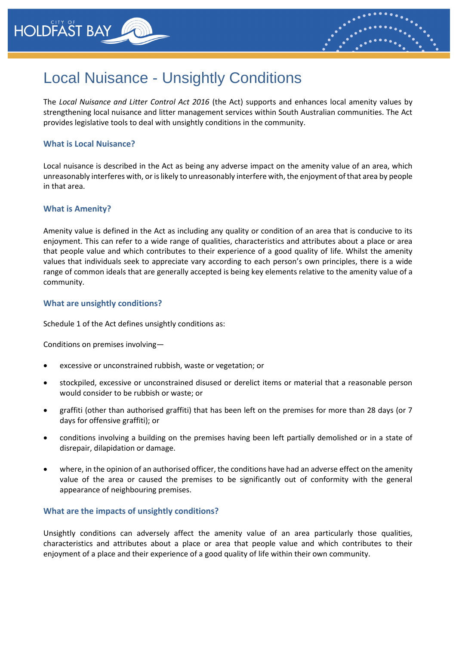



# Local Nuisance - Unsightly Conditions

The *Local Nuisance and Litter Control Act 2016* (the Act) supports and enhances local amenity values by strengthening local nuisance and litter management services within South Australian communities. The Act provides legislative tools to deal with unsightly conditions in the community.

# **What is Local Nuisance?**

Local nuisance is described in the Act as being any adverse impact on the amenity value of an area, which unreasonably interferes with, or is likely to unreasonably interfere with, the enjoyment of that area by people in that area.

## **What is Amenity?**

Amenity value is defined in the Act as including any quality or condition of an area that is conducive to its enjoyment. This can refer to a wide range of qualities, characteristics and attributes about a place or area that people value and which contributes to their experience of a good quality of life. Whilst the amenity values that individuals seek to appreciate vary according to each person's own principles, there is a wide range of common ideals that are generally accepted is being key elements relative to the amenity value of a community.

## **What are unsightly conditions?**

Schedule 1 of the Act defines unsightly conditions as:

Conditions on premises involving—

- excessive or unconstrained rubbish, waste or vegetation; or
- stockpiled, excessive or unconstrained disused or derelict items or material that a reasonable person would consider to be rubbish or waste; or
- graffiti (other than authorised graffiti) that has been left on the premises for more than 28 days (or 7 days for offensive graffiti); or
- conditions involving a building on the premises having been left partially demolished or in a state of disrepair, dilapidation or damage.
- where, in the opinion of an authorised officer, the conditions have had an adverse effect on the amenity value of the area or caused the premises to be significantly out of conformity with the general appearance of neighbouring premises.

#### **What are the impacts of unsightly conditions?**

Unsightly conditions can adversely affect the amenity value of an area particularly those qualities, characteristics and attributes about a place or area that people value and which contributes to their enjoyment of a place and their experience of a good quality of life within their own community.